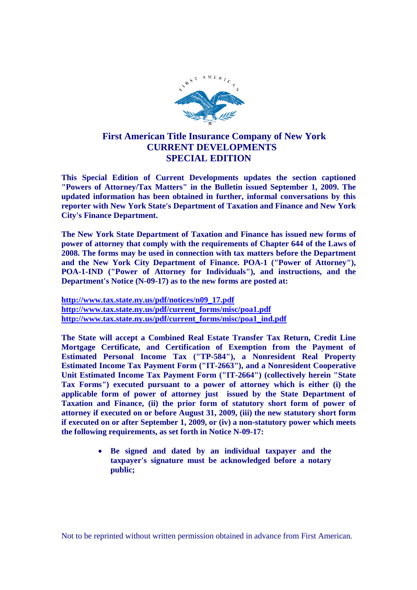

## **First American Title Insurance Company of New York CURRENT DEVELOPMENTS SPECIAL EDITION**

**This Special Edition of Current Developments updates the section captioned "Powers of Attorney/Tax Matters" in the Bulletin issued September 1, 2009. The updated information has been obtained in further, informal conversations by this reporter with New York State's Department of Taxation and Finance and New York City's Finance Department.**

**The New York State Department of Taxation and Finance has issued new forms of power of attorney that comply with the requirements of Chapter 644 of the Laws of 2008. The forms may be used in connection with tax matters before the Department and the New York City Department of Finance. POA-1 ("Power of Attorney"), POA-1-IND ("Power of Attorney for Individuals"), and instructions, and the Department's Notice (N-09-17) as to the new forms are posted at:**

**http://www.tax.state.ny.us/pdf/notices/n09\_17.pdf http://www.tax.state.ny.us/pdf/current\_forms/misc/poa1.pdf http://www.tax.state.ny.us/pdf/current\_forms/misc/poa1\_ind.pdf**

**The State will accept a Combined Real Estate Transfer Tax Return, Credit Line Mortgage Certificate, and Certification of Exemption from the Payment of Estimated Personal Income Tax ("TP-584"), a Nonresident Real Property Estimated Income Tax Payment Form ("IT-2663"), and a Nonresident Cooperative Unit Estimated Income Tax Payment Form ("IT-2664") (collectively herein "State Tax Forms") executed pursuant to a power of attorney which is either (i) the applicable form of power of attorney just issued by the State Department of Taxation and Finance, (ii) the prior form of statutory short form of power of attorney if executed on or before August 31, 2009, (iii) the new statutory short form if executed on or after September 1, 2009, or (iv) a non-statutory power which meets the following requirements, as set forth in Notice N-09-17:**

> **Be signed and dated by an individual taxpayer and the taxpayer's signature must be acknowledged before a notary public;**

Not to be reprinted without written permission obtained in advance from First American.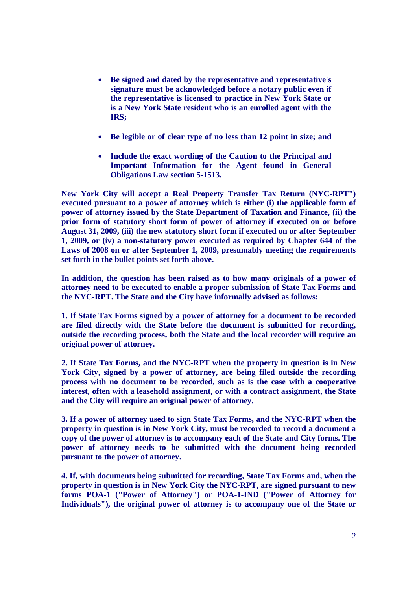- **Be signed and dated by the representative and representative's signature must be acknowledged before a notary public even if the representative is licensed to practice in New York State or is a New York State resident who is an enrolled agent with the IRS;**
- **Be legible or of clear type of no less than 12 point in size; and**
- **Include the exact wording of the Caution to the Principal and Important Information for the Agent found in General Obligations Law section 5-1513.**

**New York City will accept a Real Property Transfer Tax Return (NYC-RPT") executed pursuant to a power of attorney which is either (i) the applicable form of power of attorney issued by the State Department of Taxation and Finance, (ii) the prior form of statutory short form of power of attorney if executed on or before August 31, 2009, (iii) the new statutory short form if executed on or after September 1, 2009, or (iv) a non-statutory power executed as required by Chapter 644 of the Laws of 2008 on or after September 1, 2009, presumably meeting the requirements set forth in the bullet points set forth above.**

**In addition, the question has been raised as to how many originals of a power of attorney need to be executed to enable a proper submission of State Tax Forms and the NYC-RPT. The State and the City have informally advised as follows:**

**1. If State Tax Forms signed by a power of attorney for a document to be recorded are filed directly with the State before the document is submitted for recording, outside the recording process, both the State and the local recorder will require an original power of attorney.**

**2. If State Tax Forms, and the NYC-RPT when the property in question is in New York City, signed by a power of attorney, are being filed outside the recording process with no document to be recorded, such as is the case with a cooperative interest, often with a leasehold assignment, or with a contract assignment, the State and the City will require an original power of attorney.**

**3. If a power of attorney used to sign State Tax Forms, and the NYC-RPT when the property in question is in New York City, must be recorded to record a document a copy of the power of attorney is to accompany each of the State and City forms. The power of attorney needs to be submitted with the document being recorded pursuant to the power of attorney.**

**4. If, with documents being submitted for recording, State Tax Forms and, when the property in question is in New York City the NYC-RPT, are signed pursuant to new forms POA-1 ("Power of Attorney") or POA-1-IND ("Power of Attorney for Individuals"), the original power of attorney is to accompany one of the State or**